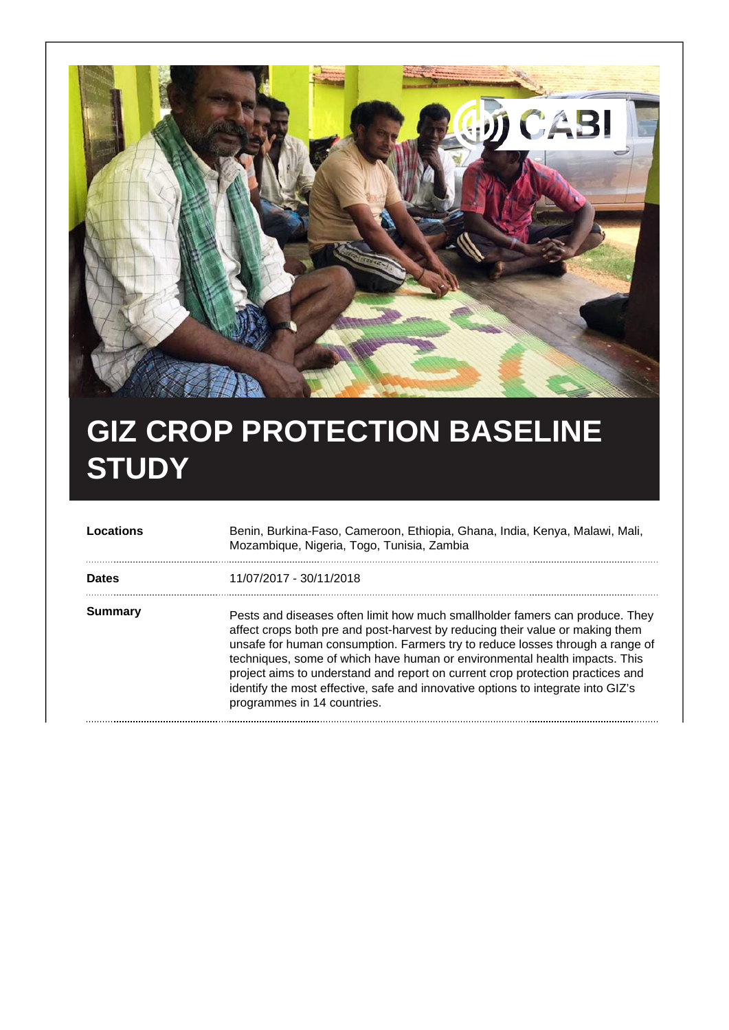

## **GIZ CROP PROTECTION BASELINE STUDY**

| Locations      | Benin, Burkina-Faso, Cameroon, Ethiopia, Ghana, India, Kenya, Malawi, Mali,<br>Mozambique, Nigeria, Togo, Tunisia, Zambia                                                                                                                                                                                                                                                                                                                                                                                                         |
|----------------|-----------------------------------------------------------------------------------------------------------------------------------------------------------------------------------------------------------------------------------------------------------------------------------------------------------------------------------------------------------------------------------------------------------------------------------------------------------------------------------------------------------------------------------|
| <b>Dates</b>   | 11/07/2017 - 30/11/2018                                                                                                                                                                                                                                                                                                                                                                                                                                                                                                           |
| <b>Summary</b> | Pests and diseases often limit how much smallholder famers can produce. They<br>affect crops both pre and post-harvest by reducing their value or making them<br>unsafe for human consumption. Farmers try to reduce losses through a range of<br>techniques, some of which have human or environmental health impacts. This<br>project aims to understand and report on current crop protection practices and<br>identify the most effective, safe and innovative options to integrate into GIZ's<br>programmes in 14 countries. |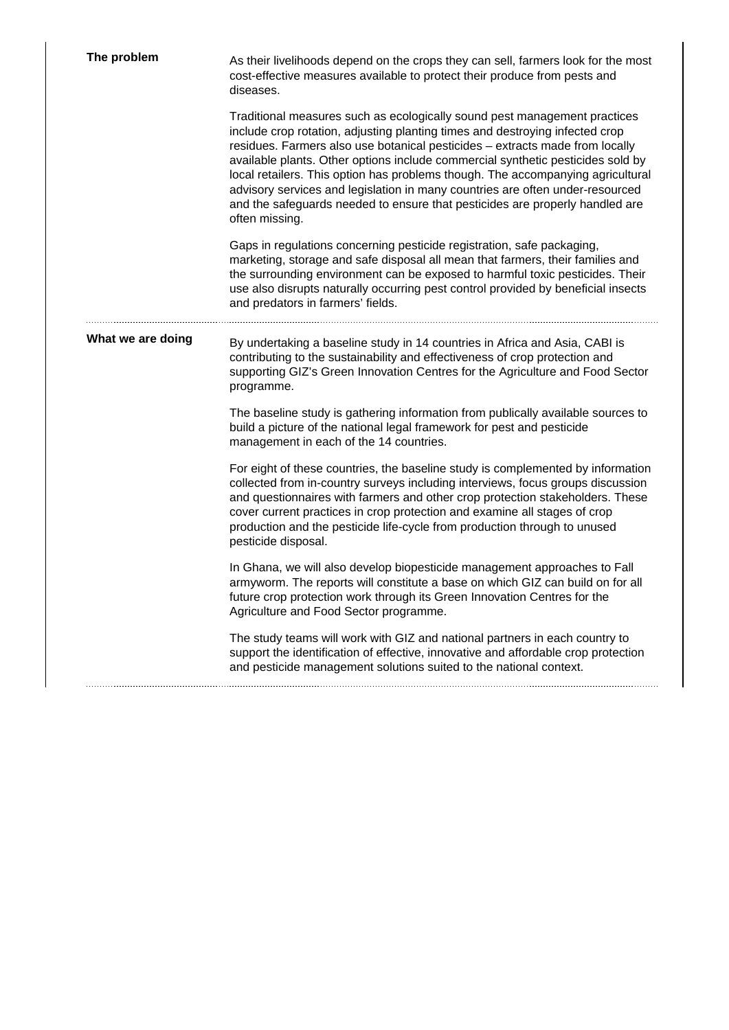| The problem       | As their livelihoods depend on the crops they can sell, farmers look for the most<br>cost-effective measures available to protect their produce from pests and<br>diseases.                                                                                                                                                                                                                                                                                                                                                                                                                        |
|-------------------|----------------------------------------------------------------------------------------------------------------------------------------------------------------------------------------------------------------------------------------------------------------------------------------------------------------------------------------------------------------------------------------------------------------------------------------------------------------------------------------------------------------------------------------------------------------------------------------------------|
|                   | Traditional measures such as ecologically sound pest management practices<br>include crop rotation, adjusting planting times and destroying infected crop<br>residues. Farmers also use botanical pesticides - extracts made from locally<br>available plants. Other options include commercial synthetic pesticides sold by<br>local retailers. This option has problems though. The accompanying agricultural<br>advisory services and legislation in many countries are often under-resourced<br>and the safeguards needed to ensure that pesticides are properly handled are<br>often missing. |
|                   | Gaps in regulations concerning pesticide registration, safe packaging,<br>marketing, storage and safe disposal all mean that farmers, their families and<br>the surrounding environment can be exposed to harmful toxic pesticides. Their<br>use also disrupts naturally occurring pest control provided by beneficial insects<br>and predators in farmers' fields.                                                                                                                                                                                                                                |
| What we are doing | By undertaking a baseline study in 14 countries in Africa and Asia, CABI is<br>contributing to the sustainability and effectiveness of crop protection and<br>supporting GIZ's Green Innovation Centres for the Agriculture and Food Sector<br>programme.                                                                                                                                                                                                                                                                                                                                          |
|                   | The baseline study is gathering information from publically available sources to<br>build a picture of the national legal framework for pest and pesticide<br>management in each of the 14 countries.                                                                                                                                                                                                                                                                                                                                                                                              |
|                   | For eight of these countries, the baseline study is complemented by information<br>collected from in-country surveys including interviews, focus groups discussion<br>and questionnaires with farmers and other crop protection stakeholders. These<br>cover current practices in crop protection and examine all stages of crop<br>production and the pesticide life-cycle from production through to unused<br>pesticide disposal.                                                                                                                                                               |
|                   | In Ghana, we will also develop biopesticide management approaches to Fall<br>armyworm. The reports will constitute a base on which GIZ can build on for all<br>future crop protection work through its Green Innovation Centres for the<br>Agriculture and Food Sector programme.                                                                                                                                                                                                                                                                                                                  |
|                   | The study teams will work with GIZ and national partners in each country to<br>support the identification of effective, innovative and affordable crop protection<br>and pesticide management solutions suited to the national context.                                                                                                                                                                                                                                                                                                                                                            |